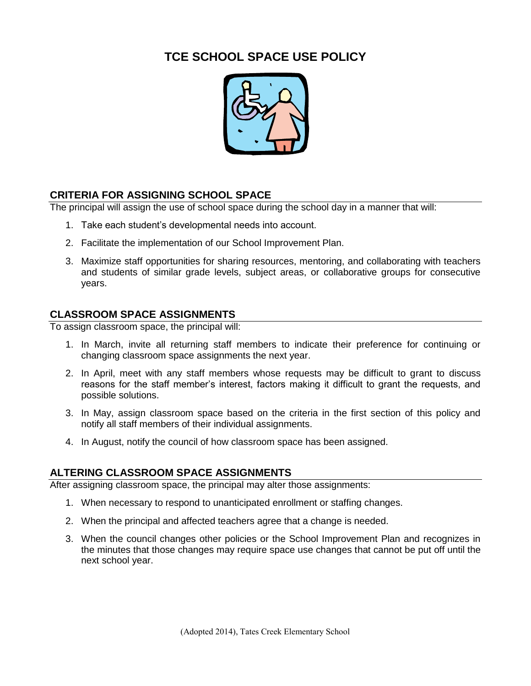# **TCE SCHOOL SPACE USE POLICY**



## **CRITERIA FOR ASSIGNING SCHOOL SPACE**

The principal will assign the use of school space during the school day in a manner that will:

- 1. Take each student's developmental needs into account.
- 2. Facilitate the implementation of our School Improvement Plan.
- 3. Maximize staff opportunities for sharing resources, mentoring, and collaborating with teachers and students of similar grade levels, subject areas, or collaborative groups for consecutive years.

#### **CLASSROOM SPACE ASSIGNMENTS**

To assign classroom space, the principal will:

- 1. In March, invite all returning staff members to indicate their preference for continuing or changing classroom space assignments the next year.
- 2. In April, meet with any staff members whose requests may be difficult to grant to discuss reasons for the staff member's interest, factors making it difficult to grant the requests, and possible solutions.
- 3. In May, assign classroom space based on the criteria in the first section of this policy and notify all staff members of their individual assignments.
- 4. In August, notify the council of how classroom space has been assigned.

#### **ALTERING CLASSROOM SPACE ASSIGNMENTS**

After assigning classroom space, the principal may alter those assignments:

- 1. When necessary to respond to unanticipated enrollment or staffing changes.
- 2. When the principal and affected teachers agree that a change is needed.
- 3. When the council changes other policies or the School Improvement Plan and recognizes in the minutes that those changes may require space use changes that cannot be put off until the next school year.